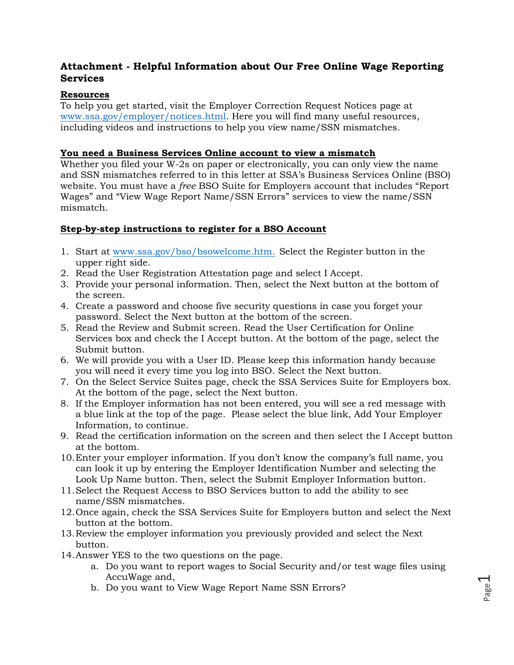# **Attachment - Helpful Information about Our Free Online Wage Reporting Services**

# **Resources**

To help you get started, visit the Employer Correction Request Notices page at [www.ssa.gov/employer/notices.html.](https://www.ssa.gov/employer/notices.html) Here you will find many useful resources, including videos and instructions to help you view name/SSN mismatches.

#### **You need a Business Services Online account to view a mismatch**

Whether you filed your W-2s on paper or electronically, you can only view the name and SSN mismatches referred to in this letter at SSA's Business Services Online (BSO) website. You must have a *free* BSO Suite for Employers account that includes "Report Wages" and "View Wage Report Name/SSN Errors" services to view the name/SSN mismatch.

### **Step-by-step instructions to register for a BSO Account**

- 1. Start at [www.ssa.gov/bso/bsowelcome.htm.](https://www.ssa.gov/bso/bsowelcome.htm) Select the Register button in the upper right side.
- 2. Read the User Registration Attestation page and select I Accept.
- 3. Provide your personal information. Then, select the Next button at the bottom of the screen.
- 4. Create a password and choose five security questions in case you forget your password. Select the Next button at the bottom of the screen.
- 5. Read the Review and Submit screen. Read the User Certification for Online Services box and check the I Accept button. At the bottom of the page, select the Submit button.
- 6. We will provide you with a User ID. Please keep this information handy because you will need it every time you log into BSO. Select the Next button.
- 7. On the Select Service Suites page, check the SSA Services Suite for Employers box. At the bottom of the page, select the Next button.
- 8. If the Employer information has not been entered, you will see a red message with a blue link at the top of the page. Please select the blue link, Add Your Employer Information, to continue.
- 9. Read the certification information on the screen and then select the I Accept button at the bottom.
- 10.Enter your employer information. If you don't know the company's full name, you can look it up by entering the Employer Identification Number and selecting the Look Up Name button. Then, select the Submit Employer Information button.
- 11.Select the Request Access to BSO Services button to add the ability to see name/SSN mismatches.
- 12.Once again, check the SSA Services Suite for Employers button and select the Next button at the bottom.
- 13.Review the employer information you previously provided and select the Next button.
- 14.Answer YES to the two questions on the page.
	- a. Do you want to report wages to Social Security and/or test wage files using AccuWage and,
	- b. Do you want to View Wage Report Name SSN Errors?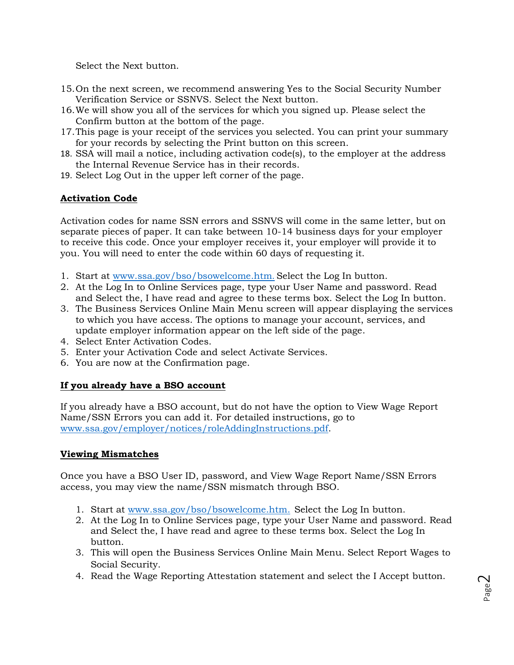Select the Next button.

- 15.On the next screen, we recommend answering Yes to the Social Security Number Verification Service or SSNVS. Select the Next button.
- 16.We will show you all of the services for which you signed up. Please select the Confirm button at the bottom of the page.
- 17.This page is your receipt of the services you selected. You can print your summary for your records by selecting the Print button on this screen.
- 18. SSA will mail a notice, including activation code(s), to the employer at the address the Internal Revenue Service has in their records.
- 19. Select Log Out in the upper left corner of the page.

## **Activation Code**

Activation codes for name SSN errors and SSNVS will come in the same letter, but on separate pieces of paper. It can take between 10-14 business days for your employer to receive this code. Once your employer receives it, your employer will provide it to you. You will need to enter the code within 60 days of requesting it.

- 1. Start at [www.ssa.gov/bso/bsowelcome.htm](https://www.ssa.gov/bso/bsowelcome.htm). Select the Log In button.
- 2. At the Log In to Online Services page, type your User Name and password. Read and Select the, I have read and agree to these terms box. Select the Log In button.
- 3. The Business Services Online Main Menu screen will appear displaying the services to which you have access. The options to manage your account, services, and update employer information appear on the left side of the page.
- 4. Select Enter Activation Codes.
- 5. Enter your Activation Code and select Activate Services.
- 6. You are now at the Confirmation page.

### **If you already have a BSO account**

If you already have a BSO account, but do not have the option to View Wage Report Name/SSN Errors you can add it. For detailed instructions, go to [www.ssa.gov/employer/notices/roleAddingInstructions.pdf.](https://www.ssa.gov/employer/notices/roleAddingInstructions.pdf)

### **Viewing Mismatches**

Once you have a BSO User ID, password, and View Wage Report Name/SSN Errors access, you may view the name/SSN mismatch through BSO.

- 1. Start at [www.ssa.gov/bso/bsowelcome.htm.](https://www.ssa.gov/bso/bsowelcome.htm) Select the Log In button.
- 2. At the Log In to Online Services page, type your User Name and password. Read and Select the, I have read and agree to these terms box. Select the Log In button.
- 3. This will open the Business Services Online Main Menu. Select Report Wages to Social Security.
- 4. Read the Wage Reporting Attestation statement and select the I Accept button.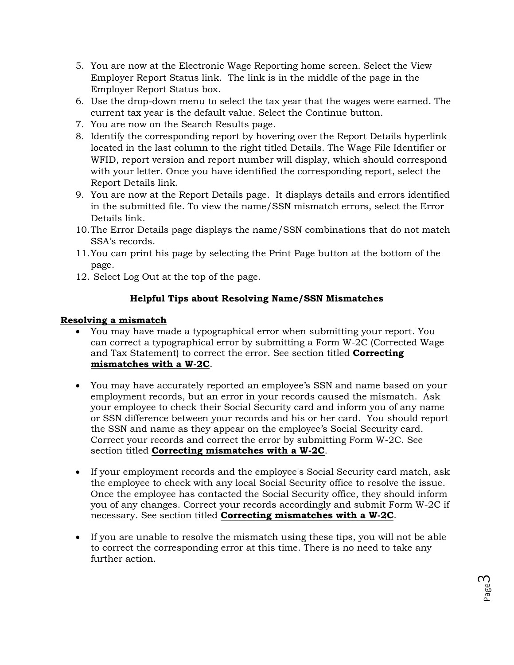- 5. You are now at the Electronic Wage Reporting home screen. Select the View Employer Report Status link. The link is in the middle of the page in the Employer Report Status box.
- 6. Use the drop-down menu to select the tax year that the wages were earned. The current tax year is the default value. Select the Continue button.
- 7. You are now on the Search Results page.
- 8. Identify the corresponding report by hovering over the Report Details hyperlink located in the last column to the right titled Details. The Wage File Identifier or WFID, report version and report number will display, which should correspond with your letter. Once you have identified the corresponding report, select the Report Details link.
- 9. You are now at the Report Details page. It displays details and errors identified in the submitted file. To view the name/SSN mismatch errors, select the Error Details link.
- 10.The Error Details page displays the name/SSN combinations that do not match SSA's records.
- 11.You can print his page by selecting the Print Page button at the bottom of the page.
- 12. Select Log Out at the top of the page.

# **Helpful Tips about Resolving Name/SSN Mismatches**

## **Resolving a mismatch**

- You may have made a typographical error when submitting your report. You can correct a typographical error by submitting a Form W-2C (Corrected Wage and Tax Statement) to correct the error. See section titled **Correcting mismatches with a W-2C**.
- You may have accurately reported an employee's SSN and name based on your employment records, but an error in your records caused the mismatch. Ask your employee to check their Social Security card and inform you of any name or SSN difference between your records and his or her card. You should report the SSN and name as they appear on the employee's Social Security card. Correct your records and correct the error by submitting Form W-2C. See section titled **Correcting mismatches with a W-2C**.
- If your employment records and the employee's Social Security card match, ask the employee to check with any local Social Security office to resolve the issue. Once the employee has contacted the Social Security office, they should inform you of any changes. Correct your records accordingly and submit Form W-2C if necessary. See section titled **Correcting mismatches with a W-2C**.
- If you are unable to resolve the mismatch using these tips, you will not be able to correct the corresponding error at this time. There is no need to take any further action.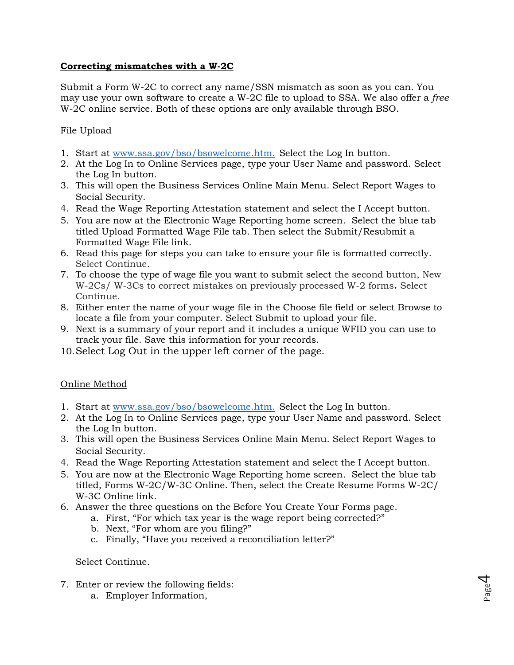# **Correcting mismatches with a W-2C**

Submit a Form W-2C to correct any name/SSN mismatch as soon as you can. You may use your own software to create a W-2C file to upload to SSA. We also offer a *free* W-2C online service. Both of these options are only available through BSO.

# File Upload

- 1. Start at [www.ssa.gov/bso/bsowelcome.htm.](https://www.ssa.gov/bso/bsowelcome.htm) Select the Log In button.
- 2. At the Log In to Online Services page, type your User Name and password. Select the Log In button.
- 3. This will open the Business Services Online Main Menu. Select Report Wages to Social Security.
- 4. Read the Wage Reporting Attestation statement and select the I Accept button.
- 5. You are now at the Electronic Wage Reporting home screen. Select the blue tab titled Upload Formatted Wage File tab. Then select the Submit/Resubmit a Formatted Wage File link.
- 6. Read this page for steps you can take to ensure your file is formatted correctly. Select Continue.
- 7. To choose the type of wage file you want to submit select the second button, New W-2Cs/ W-3Cs to correct mistakes on previously processed W-2 forms**.** Select Continue.
- 8. Either enter the name of your wage file in the Choose file field or select Browse to locate a file from your computer. Select Submit to upload your file.
- 9. Next is a summary of your report and it includes a unique WFID you can use to track your file. Save this information for your records.
- 10.Select Log Out in the upper left corner of the page.

### Online Method

- 1. Start at [www.ssa.gov/bso/bsowelcome.htm.](https://www.ssa.gov/bso/bsowelcome.htm) Select the Log In button.
- 2. At the Log In to Online Services page, type your User Name and password. Select the Log In button.
- 3. This will open the Business Services Online Main Menu. Select Report Wages to Social Security.
- 4. Read the Wage Reporting Attestation statement and select the I Accept button.
- 5. You are now at the Electronic Wage Reporting home screen. Select the blue tab titled, Forms W-2C/W-3C Online. Then, select the Create Resume Forms W-2C/ W-3C Online link.
- 6. Answer the three questions on the Before You Create Your Forms page.
	- a. First, "For which tax year is the wage report being corrected?"
	- b. Next, "For whom are you filing?"
	- c. Finally, "Have you received a reconciliation letter?"

#### Select Continue.

- 7. Enter or review the following fields:
	- a. Employer Information,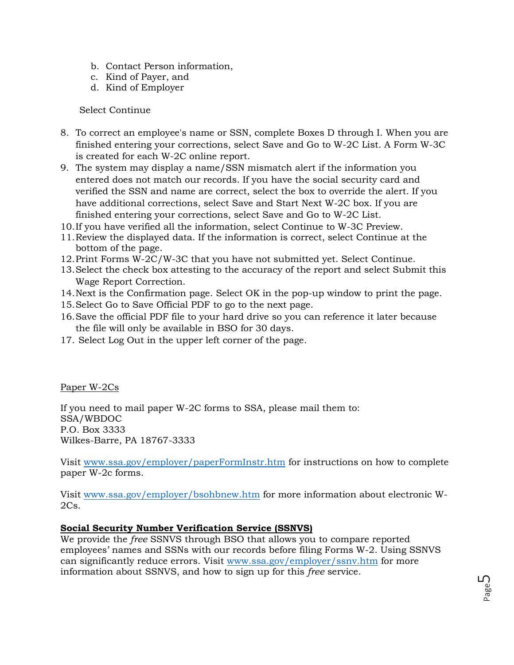- b. Contact Person information,
- c. Kind of Payer, and
- d. Kind of Employer

### Select Continue

- 8. To correct an employee's name or SSN, complete Boxes D through I. When you are finished entering your corrections, select Save and Go to W-2C List. A Form W-3C is created for each W-2C online report.
- 9. The system may display a name/SSN mismatch alert if the information you entered does not match our records. If you have the social security card and verified the SSN and name are correct, select the box to override the alert. If you have additional corrections, select Save and Start Next W-2C box. If you are finished entering your corrections, select Save and Go to W-2C List.
- 10.If you have verified all the information, select Continue to W-3C Preview.
- 11.Review the displayed data. If the information is correct, select Continue at the bottom of the page.
- 12.Print Forms W-2C/W-3C that you have not submitted yet. Select Continue.
- 13.Select the check box attesting to the accuracy of the report and select Submit this Wage Report Correction.
- 14.Next is the Confirmation page. Select OK in the pop-up window to print the page.
- 15.Select Go to Save Official PDF to go to the next page.
- 16.Save the official PDF file to your hard drive so you can reference it later because the file will only be available in BSO for 30 days.
- 17. Select Log Out in the upper left corner of the page.

Paper W-2Cs

If you need to mail paper W-2C forms to SSA, please mail them to: SSA/WBDOC P.O. Box 3333 Wilkes-Barre, PA 18767-3333

Visit [www.ssa.gov/employer/paperFormInstr.htm](https://www.ssa.gov/employer/paperFormInstr.htm) for instructions on how to complete paper W-2c forms.

Visit [www.ssa.gov/employer/bsohbnew.htm](https://www.ssa.gov/employer/bsohbnew.htm) for more information about electronic W- $2Cs$ .

# **Social Security Number Verification Service (SSNVS)**

We provide the *free* SSNVS through BSO that allows you to compare reported employees' names and SSNs with our records before filing Forms W-2. Using SSNVS can significantly reduce errors. Visit [www.ssa.gov/employer/ssnv.htm](https://www.ssa.gov/employer/ssnv.htm) for more information about SSNVS, and how to sign up for this *free* service.